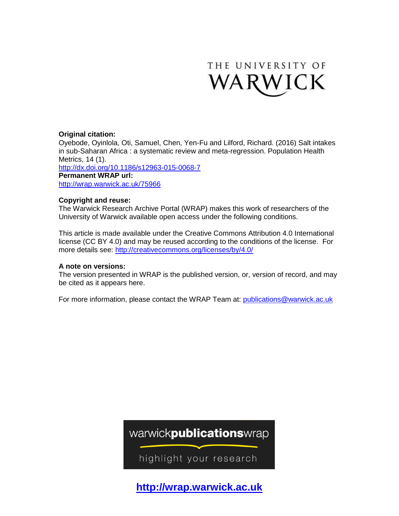

# **Original citation:**

Oyebode, Oyinlola, Oti, Samuel, Chen, Yen-Fu and Lilford, Richard. (2016) Salt intakes in sub-Saharan Africa : a systematic review and meta-regression. Population Health Metrics, 14 (1). <http://dx.doi.org/10.1186/s12963-015-0068-7> **Permanent WRAP url:** <http://wrap.warwick.ac.uk/75966>

# **Copyright and reuse:**

The Warwick Research Archive Portal (WRAP) makes this work of researchers of the University of Warwick available open access under the following conditions.

This article is made available under the Creative Commons Attribution 4.0 International license (CC BY 4.0) and may be reused according to the conditions of the license. For more details see:<http://creativecommons.org/licenses/by/4.0/>

# **A note on versions:**

The version presented in WRAP is the published version, or, version of record, and may be cited as it appears here.

For more information, please contact the WRAP Team at: [publications@warwick.ac.uk](mailto:publications@warwick.ac.uk)

warwickpublicationswrap

highlight your research

**[http://wrap.warwick.ac.uk](http://wrap.warwick.ac.uk/)**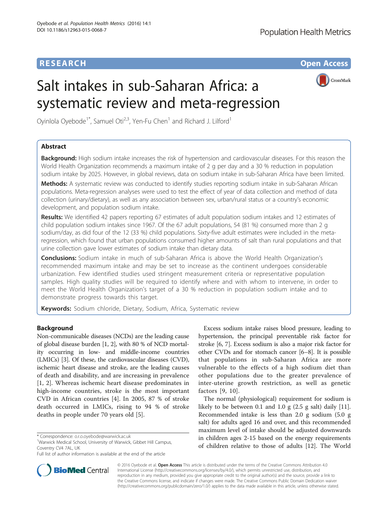CrossMark

# Salt intakes in sub-Saharan Africa: a systematic review and meta-regression

Oyinlola Oyebode<sup>1\*</sup>, Samuel Oti<sup>2,3</sup>, Yen-Fu Chen<sup>1</sup> and Richard J. Lilford<sup>1</sup>

# Abstract

Background: High sodium intake increases the risk of hypertension and cardiovascular diseases. For this reason the World Health Organization recommends a maximum intake of 2 g per day and a 30 % reduction in population sodium intake by 2025. However, in global reviews, data on sodium intake in sub-Saharan Africa have been limited.

Methods: A systematic review was conducted to identify studies reporting sodium intake in sub-Saharan African populations. Meta-regression analyses were used to test the effect of year of data collection and method of data collection (urinary/dietary), as well as any association between sex, urban/rural status or a country's economic development, and population sodium intake.

Results: We identified 42 papers reporting 67 estimates of adult population sodium intakes and 12 estimates of child population sodium intakes since 1967. Of the 67 adult populations, 54 (81 %) consumed more than 2 g sodium/day, as did four of the 12 (33 %) child populations. Sixty-five adult estimates were included in the metaregression, which found that urban populations consumed higher amounts of salt than rural populations and that urine collection gave lower estimates of sodium intake than dietary data.

**Conclusions:** Sodium intake in much of sub-Saharan Africa is above the World Health Organization's recommended maximum intake and may be set to increase as the continent undergoes considerable urbanization. Few identified studies used stringent measurement criteria or representative population samples. High quality studies will be required to identify where and with whom to intervene, in order to meet the World Health Organization's target of a 30 % reduction in population sodium intake and to demonstrate progress towards this target.

Keywords: Sodium chloride, Dietary, Sodium, Africa, Systematic review

# **Background**

Non-communicable diseases (NCDs) are the leading cause of global disease burden [\[1, 2\]](#page-12-0), with 80 % of NCD mortality occurring in low- and middle-income countries (LMICs) [\[3](#page-12-0)]. Of these, the cardiovascular diseases (CVD), ischemic heart disease and stroke, are the leading causes of death and disability, and are increasing in prevalence [[1, 2\]](#page-12-0). Whereas ischemic heart disease predominates in high-income countries, stroke is the most important CVD in African countries [[4\]](#page-12-0). In 2005, 87 % of stroke death occurred in LMICs, rising to 94 % of stroke deaths in people under 70 years old [[5\]](#page-12-0).

<sup>1</sup>Warwick Medical School, University of Warwick, Gibbet Hill Campus, Coventry CV4 7AL, UK

Excess sodium intake raises blood pressure, leading to hypertension, the principal preventable risk factor for stroke [[6](#page-12-0), [7](#page-12-0)]. Excess sodium is also a major risk factor for other CVDs and for stomach cancer [\[6](#page-12-0)–[8\]](#page-12-0). It is possible that populations in sub-Saharan Africa are more vulnerable to the effects of a high sodium diet than other populations due to the greater prevalence of inter-uterine growth restriction, as well as genetic factors [[9, 10](#page-12-0)].

The normal (physiological) requirement for sodium is likely to be between 0.1 and 1.0 g (2.5 g salt) daily [\[11](#page-12-0)]. Recommended intake is less than 2.0 g sodium (5.0 g salt) for adults aged 16 and over, and this recommended maximum level of intake should be adjusted downwards in children ages 2-15 based on the energy requirements of children relative to those of adults [\[12\]](#page-13-0). The World



© 2016 Oyebode et al. Open Access This article is distributed under the terms of the Creative Commons Attribution 4.0 International License [\(http://creativecommons.org/licenses/by/4.0/](http://creativecommons.org/licenses/by/4.0/)), which permits unrestricted use, distribution, and reproduction in any medium, provided you give appropriate credit to the original author(s) and the source, provide a link to the Creative Commons license, and indicate if changes were made. The Creative Commons Public Domain Dedication waiver [\(http://creativecommons.org/publicdomain/zero/1.0/](http://creativecommons.org/publicdomain/zero/1.0/)) applies to the data made available in this article, unless otherwise stated.

<sup>\*</sup> Correspondence: [o.r.o.oyebode@warwick.ac.uk](mailto:o.r.o.oyebode@warwick.ac.uk) <sup>1</sup>

Full list of author information is available at the end of the article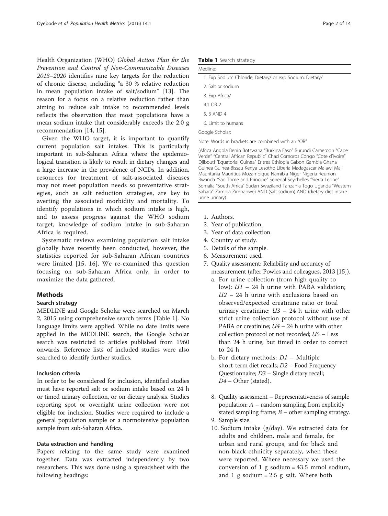Health Organization (WHO) Global Action Plan for the Prevention and Control of Non-Communicable Diseases 2013–2020 identifies nine key targets for the reduction of chronic disease, including "a 30 % relative reduction in mean population intake of salt/sodium" [\[13](#page-13-0)]. The reason for a focus on a relative reduction rather than aiming to reduce salt intake to recommended levels reflects the observation that most populations have a mean sodium intake that considerably exceeds the 2.0 g recommendation [[14](#page-13-0), [15](#page-13-0)].

Given the WHO target, it is important to quantify current population salt intakes. This is particularly important in sub-Saharan Africa where the epidemiological transition is likely to result in dietary changes and a large increase in the prevalence of NCDs. In addition, resources for treatment of salt-associated diseases may not meet population needs so preventative strategies, such as salt reduction strategies, are key to averting the associated morbidity and mortality. To identify populations in which sodium intake is high, and to assess progress against the WHO sodium target, knowledge of sodium intake in sub-Saharan Africa is required.

Systematic reviews examining population salt intake globally have recently been conducted, however, the statistics reported for sub-Saharan African countries were limited [\[15, 16\]](#page-13-0). We re-examined this question focusing on sub-Saharan Africa only, in order to maximize the data gathered.

# **Methods**

#### Search strategy

MEDLINE and Google Scholar were searched on March 2, 2015 using comprehensive search terms [Table 1]. No language limits were applied. While no date limits were applied in the MEDLINE search, the Google Scholar search was restricted to articles published from 1960 onwards. Reference lists of included studies were also searched to identify further studies.

## Inclusion criteria

In order to be considered for inclusion, identified studies must have reported salt or sodium intake based on 24 h or timed urinary collection, or on dietary analysis. Studies reporting spot or overnight urine collection were not eligible for inclusion. Studies were required to include a general population sample or a normotensive population sample from sub-Saharan Africa.

## Data extraction and handling

Papers relating to the same study were examined together. Data was extracted independently by two researchers. This was done using a spreadsheet with the following headings:

|  |  | Table 1 Search strategy |
|--|--|-------------------------|
|--|--|-------------------------|

| Medline:                                                            |
|---------------------------------------------------------------------|
| 1. Exp Sodium Chloride, Dietary/ or exp Sodium, Dietary/            |
| 2. Salt or sodium                                                   |
| 3. Exp Africa/                                                      |
| 4.1 OR 2                                                            |
| 5. 3 AND 4                                                          |
| 6. Limit to humans                                                  |
| Google Scholar:                                                     |
| Note: Words in brackets are combined with an "OR"                   |
| (Africa Angola Popin Potewana "Purkina Easo" Purundi Cameroon "Cano |

(Africa Angola Benin Botswana "Burkina Faso" Burundi Cameroon "Cape Verde" "Central African Republic" Chad Comoros Congo "Cote d'Ivoire" Djibouti "Equatorial Guinea" Eritrea Ethiopia Gabon Gambia Ghana Guinea Guinea-Bissau Kenya Lesotho Liberia Madagascar Malawi Mali Mauritania Mauritius Mozambique Namibia Niger Nigeria Reunion Rwanda "Sao Tome and Principe" Senegal Seychelles "Sierra Leone" Somalia "South Africa" Sudan Swaziland Tanzania Togo Uganda "Western Sahara" Zambia Zimbabwe) AND (salt sodium) AND (dietary diet intake urine urinary)

- 1. Authors.
- 2. Year of publication.
- 3. Year of data collection.
- 4. Country of study.
- 5. Details of the sample.
- 6. Measurement used.
- 7. Quality assessment: Reliability and accuracy of measurement (after Powles and colleagues, 2013 [\[15\]](#page-13-0)).
	- a. For urine collection (from high quality to low):  $UI - 24$  h urine with PABA validation;  $U2 - 24$  h urine with exclusions based on observed/expected creatinine ratio or total urinary creatinine;  $U3 - 24$  h urine with other strict urine collection protocol without use of PABA or creatinine;  $U4 - 24$  h urine with other collection protocol or not recorded; U5 – Less than 24 h urine, but timed in order to correct to 24 h
	- b. For dietary methods:  $DI -$  Multiple short-term diet recalls; D2 – Food Frequency Questionnaire; D3 – Single dietary recall; D4 – Other (stated).
	- 8. Quality assessment Representativeness of sample population:  $A$  – random sampling from explicitly stated sampling frame;  $B$  – other sampling strategy.
	- 9. Sample size.
	- 10. Sodium intake (g/day). We extracted data for adults and children, male and female, for urban and rural groups, and for black and non-black ethnicity separately, when these were reported. Where necessary we used the conversion of 1 g sodium =  $43.5$  mmol sodium, and 1 g sodium  $= 2.5$  g salt. Where both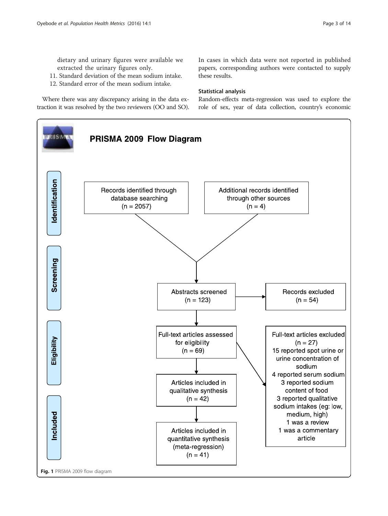<span id="page-3-0"></span>dietary and urinary figures were available we extracted the urinary figures only.

- 11. Standard deviation of the mean sodium intake.
- 12. Standard error of the mean sodium intake.

Where there was any discrepancy arising in the data extraction it was resolved by the two reviewers (OO and SO). In cases in which data were not reported in published papers, corresponding authors were contacted to supply these results.

## Statistical analysis

Random-effects meta-regression was used to explore the role of sex, year of data collection, country's economic

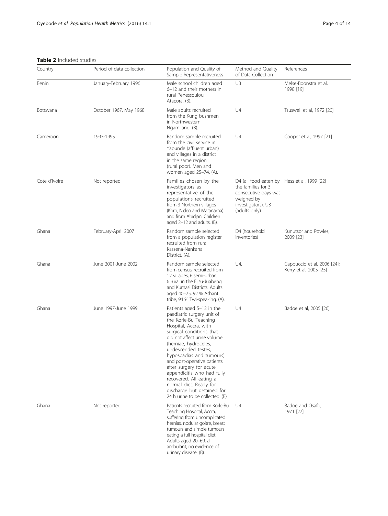<span id="page-4-0"></span>Table 2 Included studies

| <b>IQDIE 4</b> IIILIUUCU 3LUUIC3 |                           |                                                                                                                                                                                                                                                                                                                                                                                                                                                                 |                                                                                                                                                 |                                                       |  |  |
|----------------------------------|---------------------------|-----------------------------------------------------------------------------------------------------------------------------------------------------------------------------------------------------------------------------------------------------------------------------------------------------------------------------------------------------------------------------------------------------------------------------------------------------------------|-------------------------------------------------------------------------------------------------------------------------------------------------|-------------------------------------------------------|--|--|
| Country                          | Period of data collection | Population and Quality of<br>Sample Representativeness                                                                                                                                                                                                                                                                                                                                                                                                          | Method and Quality<br>of Data Collection                                                                                                        | References                                            |  |  |
| Benin                            | January-February 1996     | U3<br>Male school children aged<br>6-12 and their mothers in<br>rural Penessoulou,<br>Atacora. (B).                                                                                                                                                                                                                                                                                                                                                             |                                                                                                                                                 | Melse-Boonstra et al,<br>1998 [19]                    |  |  |
| Botswana                         | October 1967, May 1968    | Male adults recruited<br>from the Kung bushmen<br>in Northwestern<br>Ngamiland. (B).                                                                                                                                                                                                                                                                                                                                                                            | U4<br>Truswell et al, 1972 [20]                                                                                                                 |                                                       |  |  |
| Cameroon                         | 1993-1995                 | Random sample recruited<br>from the civil service in<br>Yaounde (affluent urban)<br>and villages in a district<br>in the same region<br>(rural poor). Men and<br>women aged 25-74. (A).                                                                                                                                                                                                                                                                         | U4                                                                                                                                              | Cooper et al, 1997 [21]                               |  |  |
| Cote d'Ivoire                    | Not reported              | Families chosen by the<br>investigators as<br>representative of the<br>populations recruited<br>from 3 Northern villages<br>(Koro, N'deo and Maranama)<br>and from Abidjan. Children<br>aged 2-12 and adults. (B).                                                                                                                                                                                                                                              | D4 (all food eaten by Hess et al, 1999 [22]<br>the families for 3<br>consecutive days was<br>weighed by<br>investigators). U3<br>(adults only). |                                                       |  |  |
| Ghana                            | February-April 2007       | Random sample selected<br>from a population register<br>recruited from rural<br>Kassena-Nankana<br>District. (A).                                                                                                                                                                                                                                                                                                                                               | D4 (household<br>inventories)                                                                                                                   | Kunutsor and Powles,<br>2009 [23]                     |  |  |
| Ghana                            | June 2001-June 2002       | Random sample selected<br>from census, recruited from<br>12 villages, 6 semi-urban,<br>6 rural in the Ejisu-Juabeng<br>and Kumasi Districts. Adults<br>aged 40-75, 92 % Ashanti<br>tribe, 94 % Twi-speaking. (A).                                                                                                                                                                                                                                               | U4.                                                                                                                                             | Cappuccio et al, 2006 [24];<br>Kerry et al, 2005 [25] |  |  |
| Ghana                            | June 1997-June 1999       | Patients aged 5-12 in the<br>paediatric surgery unit of<br>the Korle-Bu Teaching<br>Hospital, Accra, with<br>surgical conditions that<br>did not affect urine volume<br>(herniae, hydroceles,<br>undescended testes,<br>hypospadias and tumours)<br>and post-operative patients<br>after surgery for acute<br>appendicitis who had fully<br>recovered. All eating a<br>normal diet. Ready for<br>discharge but detained for<br>24 h urine to be collected. (B). | U4                                                                                                                                              | Badoe et al, 2005 [26]                                |  |  |
| Ghana                            | Not reported              | Patients recruited from Korle-Bu<br>Teaching Hospital, Accra,<br>suffering from uncomplicated<br>hernias, nodular goitre, breast<br>tumours and simple tumours<br>eating a full hospital diet.<br>Adults aged 20-69, all<br>ambulant, no evidence of<br>urinary disease. (B).                                                                                                                                                                                   | U4                                                                                                                                              | Badoe and Osafo,<br>1971 [27]                         |  |  |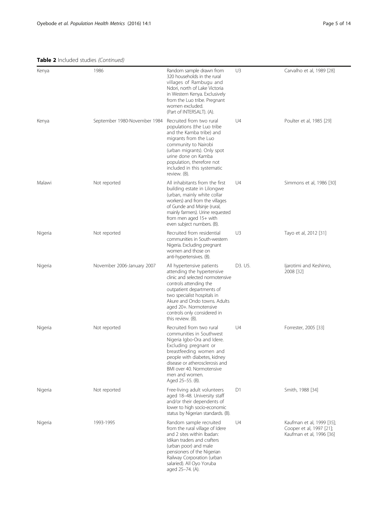## Table 2 Included studies (Continued)

| Kenya   | 1986                         | Random sample drawn from<br>320 households in the rural<br>villages of Rambugu and<br>Ndori, north of Lake Victoria<br>in Western Kenya. Exclusively<br>from the Luo tribe. Pregnant<br>women excluded.<br>(Part of INTERSALT). (A).                                                            | U3      | Carvalho et al, 1989 [28]                                                         |
|---------|------------------------------|-------------------------------------------------------------------------------------------------------------------------------------------------------------------------------------------------------------------------------------------------------------------------------------------------|---------|-----------------------------------------------------------------------------------|
| Kenya   | September 1980-November 1984 | Recruited from two rural<br>populations (the Luo tribe<br>and the Kamba tribe) and<br>migrants from the Luo<br>community to Nairobi<br>(urban migrants). Only spot<br>urine done on Kamba<br>population, therefore not<br>included in this systematic<br>review. (B).                           | U4      | Poulter et al, 1985 [29]                                                          |
| Malawi  | Not reported                 | All inhabitants from the first<br>building estate in Lilongwe<br>(urban, mainly white collar<br>workers) and from the villages<br>of Gunde and Msinje (rural,<br>mainly farmers). Urine requested<br>from men aged 15+ with<br>even subject numbers. (B).                                       | U4      | Simmons et al, 1986 [30]                                                          |
| Nigeria | Not reported                 | Recruited from residential<br>communities in South-western<br>Nigeria. Excluding pregnant<br>women and those on<br>anti-hypertensives. (B).                                                                                                                                                     | U3      | Tayo et al, 2012 [31]                                                             |
| Nigeria | November 2006-January 2007   | All hypertensive patients<br>attending the hypertensive<br>clinic and selected normotensive<br>controls attending the<br>outpatient departments of<br>two specialist hospitals in<br>Akure and Ondo towns. Adults<br>aged 20+. Normotensive<br>controls only considered in<br>this review. (B). | D3. U5. | ljarotimi and Keshinro,<br>2008 [32]                                              |
| Nigeria | Not reported                 | Recruited from two rural<br>communities in Southwest<br>Nigeria Igbo-Ora and Idere.<br>Excluding pregnant or<br>breastfeeding women and<br>people with diabetes, kidney<br>disease or atherosclerosis and<br>BMI over 40. Normotensive<br>men and women.<br>Aged 25–55. (B).                    | U4      | Forrester, 2005 [33]                                                              |
| Nigeria | Not reported                 | Free-living adult volunteers<br>aged 18-48. University staff<br>and/or their dependents of<br>lower to high socio-economic<br>status by Nigerian standards. (B).                                                                                                                                | D1      | Smith, 1988 [34]                                                                  |
| Nigeria | 1993-1995                    | Random sample recruited<br>from the rural village of Idere<br>and 2 sites within Ibadan:<br>Idikan traders and crafters<br>(urban poor) and male<br>pensioners of the Nigerian<br>Railway Corporation (urban<br>salaried). All Oyo Yoruba<br>aged 25-74. (A).                                   | U4      | Kaufman et al, 1999 [35];<br>Cooper et al, 1997 [21];<br>Kaufman et al, 1996 [36] |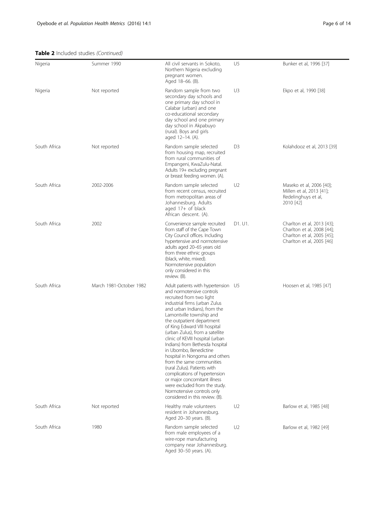Table 2 Included studies (Continued)

| Nigeria      | Summer 1990             | All civil servants in Sokoto,<br>Northern Nigeria excluding<br>pregnant women.<br>Aged 18–66. (B).                                                                                                                                                                                                                                                                                                                                                                                                                                                                                                                                                           | U <sub>5</sub> | Bunker et al, 1996 [37]                                                                                             |
|--------------|-------------------------|--------------------------------------------------------------------------------------------------------------------------------------------------------------------------------------------------------------------------------------------------------------------------------------------------------------------------------------------------------------------------------------------------------------------------------------------------------------------------------------------------------------------------------------------------------------------------------------------------------------------------------------------------------------|----------------|---------------------------------------------------------------------------------------------------------------------|
| Nigeria      | Not reported            | Random sample from two<br>secondary day schools and<br>one primary day school in<br>Calabar (urban) and one<br>co-educational secondary<br>day school and one primary<br>day school in Akpabuyo<br>(rural). Boys and girls<br>aged 12-14. (A).                                                                                                                                                                                                                                                                                                                                                                                                               | U3             | Ekpo et al, 1990 [38]                                                                                               |
| South Africa | Not reported            | Random sample selected<br>from housing map, recruited<br>from rural communities of<br>Empangeni, KwaZulu-Natal.<br>Adults 19+ excluding pregnant<br>or breast feeding women. (A).                                                                                                                                                                                                                                                                                                                                                                                                                                                                            | D <sub>3</sub> | Kolahdooz et al, 2013 [39]                                                                                          |
| South Africa | 2002-2006               | Random sample selected<br>from recent census, recruited<br>from metropolitan areas of<br>Johannesburg. Adults<br>aged 17+ of black<br>African descent. (A).                                                                                                                                                                                                                                                                                                                                                                                                                                                                                                  | U <sub>2</sub> | Maseko et al, 2006 [40];<br>Millen et al, 2013 [41];<br>Redelinghuys et al,<br>2010 [42]                            |
| South Africa | 2002                    | Convenience sample recruited<br>from staff of the Cape Town<br>City Council offices. Including<br>hypertensive and normotensive<br>adults aged 20-65 years old<br>from three ethnic groups<br>(black, white, mixed).<br>Normotensive population<br>only considered in this<br>review. (B).                                                                                                                                                                                                                                                                                                                                                                   | D1. U1.        | Charlton et al, 2013 [43];<br>Charlton et al, 2008 [44];<br>Charlton et al, 2005 [45];<br>Charlton et al, 2005 [46] |
| South Africa | March 1981-October 1982 | Adult patients with hypertension U5<br>and normotensive controls<br>recruited from two light<br>industrial firms (urban Zulus<br>and urban Indians), from the<br>Lamontville township and<br>the outpatient department<br>of King Edward VIII hospital<br>(urban Zulus), from a satellite<br>clinic of KEVIII hospital (urban<br>Indians) from Bethesda hospital<br>in Ubombo, Benedictine<br>hospital in Nongoma and others<br>from the same communities<br>(rural Zulus). Patients with<br>complications of hypertension<br>or major concomitant illness<br>were excluded from the study.<br>Normotensive controls only<br>considered in this review. (B). |                | Hoosen et al, 1985 [47]                                                                                             |
| South Africa | Not reported            | Healthy male volunteers<br>resident in Johannesburg.<br>Aged 20-30 years. (B).                                                                                                                                                                                                                                                                                                                                                                                                                                                                                                                                                                               | U <sub>2</sub> | Barlow et al, 1985 [48]                                                                                             |
| South Africa | 1980                    | Random sample selected<br>from male employees of a<br>wire-rope manufacturing<br>company near Johannesburg.<br>Aged 30-50 years. (A).                                                                                                                                                                                                                                                                                                                                                                                                                                                                                                                        | U <sub>2</sub> | Barlow et al, 1982 [49]                                                                                             |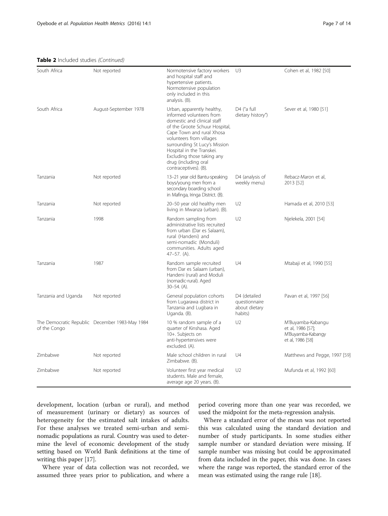Table 2 Included studies (Continued)

| South Africa        | Not reported                                   | Normotensive factory workers<br>and hospital staff and<br>hypertensive patients.<br>Normotensive population<br>only included in this<br>analysis. (B).                                                                                                                                                                        | U3                                                        | Cohen et al, 1982 [50]                                                          |
|---------------------|------------------------------------------------|-------------------------------------------------------------------------------------------------------------------------------------------------------------------------------------------------------------------------------------------------------------------------------------------------------------------------------|-----------------------------------------------------------|---------------------------------------------------------------------------------|
| South Africa        | August-September 1978                          | Urban, apparently healthy,<br>informed volunteers from<br>domestic and clinical staff<br>of the Groote Schuur Hospital,<br>Cape Town and rural Xhosa<br>volunteers from villages<br>surrounding St Lucy's Mission<br>Hospital in the Transkei.<br>Excluding those taking any<br>drug (including oral<br>contraceptives). (B). | D4 ("a full<br>dietary history")                          | Sever et al, 1980 [51]                                                          |
| Tanzania            | Not reported                                   | 13-21 year old Bantu-speaking<br>boys/young men from a<br>secondary boarding school<br>in Mafinga, Iringa District. (B).                                                                                                                                                                                                      | D4 (analysis of<br>weekly menu)                           | Rebacz-Maron et al,<br>2013 [52]                                                |
| Tanzania            | Not reported                                   | 20-50 year old healthy men<br>living in Mwanza (urban). (B).                                                                                                                                                                                                                                                                  | U2                                                        | Hamada et al, 2010 [53]                                                         |
| Tanzania            | 1998                                           | Random sampling from<br>administrative lists recruited<br>from urban (Dar es Salaam),<br>rural (Handeni) and<br>semi-nomadic (Monduli)<br>communities. Adults aged<br>$47-57.$ (A).                                                                                                                                           | U <sub>2</sub>                                            | Njelekela, 2001 [54]                                                            |
| Tanzania            | 1987                                           | Random sample recruited<br>from Dar es Salaam (urban),<br>Handeni (rural) and Moduli<br>(nomadic-rural). Aged<br>$30-54.$ (A).                                                                                                                                                                                                | U4                                                        | Mtabaji et al, 1990 [55]                                                        |
| Tanzania and Uganda | Not reported                                   | General population cohorts<br>from Lugarawa district in<br>Tanzania and Lugbara in<br>Uganda. (B).                                                                                                                                                                                                                            | D4 (detailed<br>questionnaire<br>about dietary<br>habits) | Pavan et al, 1997 [56]                                                          |
| of the Congo        | The Democratic Republic December 1983-May 1984 | 10 % random sample of a<br>quarter of Kinshasa. Aged<br>10+. Subjects on<br>anti-hypertensives were<br>excluded. (A).                                                                                                                                                                                                         | U <sub>2</sub>                                            | M'Buyamba-Kabangu<br>et al, 1986 [57];<br>M'Buyamba-Kabangy<br>et al, 1986 [58] |
| Zimbabwe            | Not reported                                   | Male school children in rural<br>Zimbabwe. (B).                                                                                                                                                                                                                                                                               | U4                                                        | Matthews and Pegge, 1997 [59]                                                   |
| Zimbabwe            | Not reported                                   | Volunteer first year medical<br>students. Male and female,<br>average age 20 years. (B).                                                                                                                                                                                                                                      | U <sub>2</sub>                                            | Mufunda et al, 1992 [60]                                                        |

development, location (urban or rural), and method of measurement (urinary or dietary) as sources of heterogeneity for the estimated salt intakes of adults. For these analyses we treated semi-urban and seminomadic populations as rural. Country was used to determine the level of economic development of the study setting based on World Bank definitions at the time of writing this paper [\[17\]](#page-13-0).

Where year of data collection was not recorded, we assumed three years prior to publication, and where a

period covering more than one year was recorded, we used the midpoint for the meta-regression analysis.

Where a standard error of the mean was not reported this was calculated using the standard deviation and number of study participants. In some studies either sample number or standard deviation were missing. If sample number was missing but could be approximated from data included in the paper, this was done. In cases where the range was reported, the standard error of the mean was estimated using the range rule [\[18](#page-13-0)].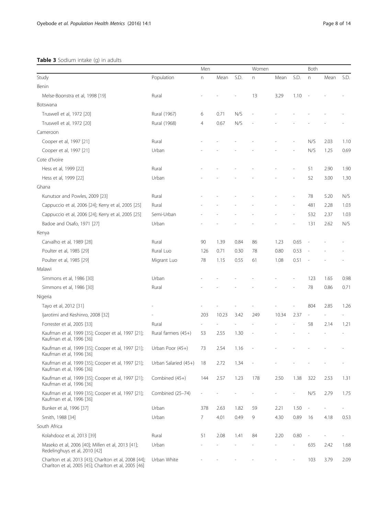# <span id="page-8-0"></span>Table 3 Sodium intake (g) in adults

|                                                                                                               |                      | Men          |       |      | Women |       |                          | Both |      |      |
|---------------------------------------------------------------------------------------------------------------|----------------------|--------------|-------|------|-------|-------|--------------------------|------|------|------|
| Study                                                                                                         | Population           | $\mathsf{n}$ | Mean  | S.D. | n     | Mean  | S.D.                     | n    | Mean | S.D. |
| Benin                                                                                                         |                      |              |       |      |       |       |                          |      |      |      |
| Melse-Boonstra et al, 1998 [19]                                                                               | Rural                |              |       |      | 13    | 3.29  | 1.10                     |      |      |      |
| Botswana                                                                                                      |                      |              |       |      |       |       |                          |      |      |      |
| Truswell et al, 1972 [20]                                                                                     | Rural (1967)         | 6            | 0.71  | N/S  |       |       |                          |      |      |      |
| Truswell et al, 1972 [20]                                                                                     | Rural (1968)         | 4            | 0.67  | N/S  |       |       |                          |      |      |      |
| Cameroon                                                                                                      |                      |              |       |      |       |       |                          |      |      |      |
| Cooper et al, 1997 [21]                                                                                       | Rural                |              |       |      |       |       |                          | N/S  | 2.03 | 1.10 |
| Cooper et al, 1997 [21]                                                                                       | Urban                |              |       |      |       |       |                          | N/S  | 1.25 | 0.69 |
| Cote d'Ivoire                                                                                                 |                      |              |       |      |       |       |                          |      |      |      |
| Hess et al, 1999 [22]                                                                                         | Rural                |              |       |      |       |       |                          | 51   | 2.90 | 1.90 |
| Hess et al, 1999 [22]                                                                                         | Urban                |              |       |      |       |       |                          | 52   | 3.00 | 1.30 |
| Ghana                                                                                                         |                      |              |       |      |       |       |                          |      |      |      |
| Kunutsor and Powles, 2009 [23]                                                                                | Rural                |              |       |      |       |       |                          | 78   | 5.20 | N/S  |
| Cappuccio et al, 2006 [24]; Kerry et al, 2005 [25]                                                            | Rural                |              |       |      |       |       |                          | 481  | 2.28 | 1.03 |
| Cappuccio et al, 2006 [24]; Kerry et al, 2005 [25]                                                            | Semi-Urban           |              |       |      |       |       |                          | 532  | 2.37 | 1.03 |
| Badoe and Osafo, 1971 [27]                                                                                    | Urban                |              |       |      |       |       |                          | 131  | 2.62 | N/S  |
| Kenya                                                                                                         |                      |              |       |      |       |       |                          |      |      |      |
| Carvalho et al, 1989 [28]                                                                                     | Rural                | 90           | 1.39  | 0.84 | 86    | 1.23  | 0.65                     |      |      |      |
| Poulter et al, 1985 [29]                                                                                      | Rural Luo            | 126          | 0.71  | 0.30 | 78    | 0.80  | 0.53                     |      |      |      |
| Poulter et al, 1985 [29]                                                                                      | Migrant Luo          | 78           | 1.15  | 0.55 | 61    | 1.08  | 0.51                     |      |      |      |
| Malawi                                                                                                        |                      |              |       |      |       |       |                          |      |      |      |
| Simmons et al, 1986 [30]                                                                                      | Urban                |              |       |      |       |       |                          | 123  | 1.65 | 0.98 |
| Simmons et al, 1986 [30]                                                                                      | Rural                |              |       |      |       |       |                          | 78   | 0.86 | 0.71 |
| Nigeria                                                                                                       |                      |              |       |      |       |       |                          |      |      |      |
| Tayo et al, 2012 [31]                                                                                         |                      |              |       |      |       |       |                          | 804  | 2.85 | 1.26 |
| ljarotimi and Keshinro, 2008 [32]                                                                             |                      | 203          | 10.23 | 3.42 | 249   | 10.34 | 2.37                     |      |      |      |
| Forrester et al, 2005 [33]                                                                                    | Rural                |              |       |      |       |       |                          | 58   | 2.14 | 1.21 |
| Kaufman et al, 1999 [35]; Cooper et al, 1997 [21];<br>Kaufman et al, 1996 [36]                                | Rural farmers (45+)  | 53           | 2.55  | 1.30 |       |       |                          |      |      |      |
| Kaufman et al, 1999 [35]; Cooper et al, 1997 [21];<br>Kaufman et al, 1996 [36]                                | Urban Poor $(45+)$   | 73           | 2.54  | 1.16 |       |       |                          |      |      |      |
| Kaufman et al, 1999 [35]; Cooper et al, 1997 [21];<br>Kaufman et al, 1996 [36]                                | Urban Salaried (45+) | 18           | 2.72  | 1.34 |       |       |                          |      |      |      |
| Kaufman et al, 1999 [35]; Cooper et al, 1997 [21];<br>Kaufman et al, 1996 [36]                                | Combined (45+)       | 144          | 2.57  | 1.23 | 178   | 2.50  | 1.38                     | 322  | 2.53 | 1.31 |
| Kaufman et al, 1999 [35]; Cooper et al, 1997 [21];<br>Kaufman et al, 1996 [36]                                | Combined (25-74)     |              |       |      |       |       | $\overline{a}$           | N/S  | 2.79 | 1.75 |
| Bunker et al, 1996 [37]                                                                                       | Urban                | 378          | 2.63  | 1.82 | 59    | 2.21  | 1.50                     |      |      |      |
| Smith, 1988 [34]                                                                                              | Urban                | 7            | 4.01  | 0.49 | 9     | 4.30  | 0.89                     | 16   | 4.18 | 0.53 |
| South Africa                                                                                                  |                      |              |       |      |       |       |                          |      |      |      |
| Kolahdooz et al, 2013 [39]                                                                                    | Rural                | 51           | 2.08  | 1.41 | 84    | 2.20  | 0.80                     |      |      |      |
| Maseko et al, 2006 [40]; Millen et al, 2013 [41];<br>Redelinghuys et al, 2010 [42]                            | Urban                |              |       |      |       |       | $\overline{\phantom{a}}$ | 635  | 2.42 | 1.68 |
| Charlton et al, 2013 [43]; Charlton et al, 2008 [44];<br>Charlton et al, 2005 [45]; Charlton et al, 2005 [46] | Urban White          |              |       |      |       |       |                          | 103  | 3.79 | 2.09 |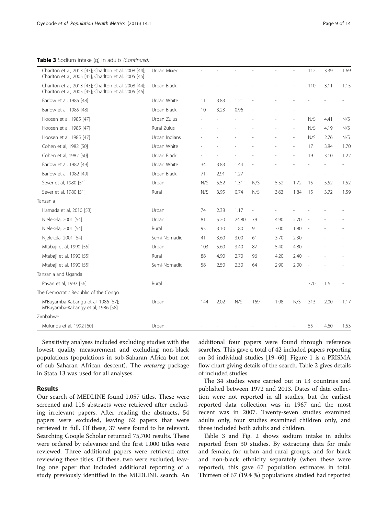Table 3 Sodium intake (q) in adults (Continued)

| Charlton et al, 2013 [43]; Charlton et al, 2008 [44];<br>Charlton et al, 2005 [45]; Charlton et al, 2005 [46] | Urban Mixed   |     |      |       |                          |      |      | 112 | 3.39 | 1.69 |
|---------------------------------------------------------------------------------------------------------------|---------------|-----|------|-------|--------------------------|------|------|-----|------|------|
| Charlton et al, 2013 [43]; Charlton et al, 2008 [44];<br>Charlton et al, 2005 [45]; Charlton et al, 2005 [46] | Urban Black   |     |      |       |                          |      |      | 110 | 3.11 | 1.15 |
| Barlow et al, 1985 [48]                                                                                       | Urban White   | 11  | 3.83 | 1.21  |                          |      |      |     |      |      |
| Barlow et al, 1985 [48]                                                                                       | Urban Black   | 10  | 3.23 | 0.96  |                          |      |      |     |      |      |
| Hoosen et al, 1985 [47]                                                                                       | Urban Zulus   |     |      |       |                          |      |      | N/S | 4.41 | N/S  |
| Hoosen et al, 1985 [47]                                                                                       | Rural Zulus   |     |      |       |                          |      |      | N/S | 4.19 | N/S  |
| Hoosen et al, 1985 [47]                                                                                       | Urban Indians |     |      |       |                          |      |      | N/S | 2.76 | N/S  |
| Cohen et al, 1982 [50]                                                                                        | Urban White   |     |      |       |                          |      |      | 17  | 3.84 | 1.70 |
| Cohen et al, 1982 [50]                                                                                        | Urban Black   |     |      |       |                          |      |      | 19  | 3.10 | 1.22 |
| Barlow et al, 1982 [49]                                                                                       | Urban White   | 34  | 3.83 | 1.44  |                          |      |      |     |      |      |
| Barlow et al, 1982 [49]                                                                                       | Urban Black   | 71  | 2.91 | 1.27  |                          |      |      |     |      |      |
| Sever et al, 1980 [51]                                                                                        | Urban         | N/S | 5.52 | 1.31  | N/S                      | 5.52 | 1.72 | 15  | 5.52 | 1.52 |
| Sever et al, 1980 [51]                                                                                        | Rural         | N/S | 3.95 | 0.74  | N/S                      | 3.63 | 1.84 | 15  | 3.72 | 1.59 |
| Tanzania                                                                                                      |               |     |      |       |                          |      |      |     |      |      |
| Hamada et al, 2010 [53]                                                                                       | Urban         | 74  | 2.38 | 1.17  | $\overline{\phantom{a}}$ |      |      |     |      |      |
| Njelekela, 2001 [54]                                                                                          | Urban         | 81  | 5.20 | 24.80 | 79                       | 4.90 | 2.70 |     |      |      |
| Njelekela, 2001 [54]                                                                                          | Rural         | 93  | 3.10 | 1.80  | 91                       | 3.00 | 1.80 |     |      |      |
| Njelekela, 2001 [54]                                                                                          | Semi-Nomadic  | 41  | 3.60 | 3.00  | 61                       | 3.70 | 2.30 |     |      |      |
| Mtabaji et al, 1990 [55]                                                                                      | Urban         | 103 | 5.60 | 3.40  | 87                       | 5.40 | 4.80 |     |      |      |
| Mtabaji et al, 1990 [55]                                                                                      | Rural         | 88  | 4.90 | 2.70  | 96                       | 4.20 | 2.40 |     |      |      |
| Mtabaji et al, 1990 [55]                                                                                      | Semi-Nomadic  | 58  | 2.50 | 2.30  | 64                       | 2.90 | 2.00 |     |      |      |
| Tanzania and Uganda                                                                                           |               |     |      |       |                          |      |      |     |      |      |
| Pavan et al, 1997 [56]                                                                                        | Rural         |     |      |       |                          |      |      | 370 | 1.6  |      |
| The Democratic Republic of the Congo                                                                          |               |     |      |       |                          |      |      |     |      |      |
| M'Buyamba-Kabangu et al, 1986 [57];<br>M'Buyamba-Kabangy et al, 1986 [58]                                     | Urban         | 144 | 2.02 | N/S   | 169                      | 1.98 | N/S  | 313 | 2.00 | 1.17 |
| Zimbabwe                                                                                                      |               |     |      |       |                          |      |      |     |      |      |
| Mufunda et al, 1992 [60]                                                                                      | Urban         |     |      |       |                          |      |      | 55  | 4.60 | 1.53 |

Sensitivity analyses included excluding studies with the lowest quality measurement and excluding non-black populations (populations in sub-Saharan Africa but not of sub-Saharan African descent). The metareg package in Stata 13 was used for all analyses.

## Results

Our search of MEDLINE found 1,057 titles. These were screened and 116 abstracts were retrieved after excluding irrelevant papers. After reading the abstracts, 54 papers were excluded, leaving 62 papers that were retrieved in full. Of these, 37 were found to be relevant. Searching Google Scholar returned 75,700 results. These were ordered by relevance and the first 1,000 titles were reviewed. Three additional papers were retrieved after reviewing these titles. Of these, two were excluded, leaving one paper that included additional reporting of a study previously identified in the MEDLINE search. An

additional four papers were found through reference searches. This gave a total of 42 included papers reporting on 34 individual studies [\[19](#page-13-0)–[60\]](#page-14-0). Figure [1](#page-3-0) is a PRISMA flow chart giving details of the search. Table [2](#page-4-0) gives details of included studies.

The 34 studies were carried out in 13 countries and published between 1972 and 2013. Dates of data collection were not reported in all studies, but the earliest reported data collection was in 1967 and the most recent was in 2007. Twenty-seven studies examined adults only, four studies examined children only, and three included both adults and children.

Table [3](#page-8-0) and Fig. [2](#page-10-0) shows sodium intake in adults reported from 30 studies. By extracting data for male and female, for urban and rural groups, and for black and non-black ethnicity separately (when these were reported), this gave 67 population estimates in total. Thirteen of 67 (19.4 %) populations studied had reported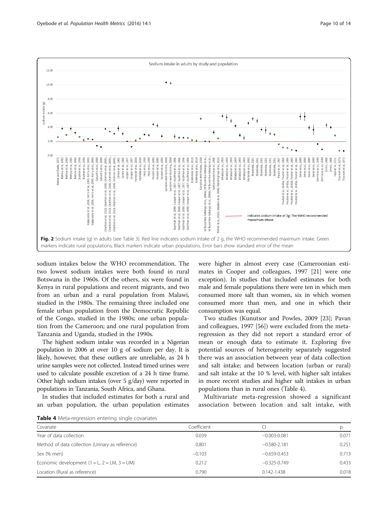<span id="page-10-0"></span>

sodium intakes below the WHO recommendation. The two lowest sodium intakes were both found in rural Botswana in the 1960s. Of the others, six were found in Kenya in rural populations and recent migrants, and two from an urban and a rural population from Malawi, studied in the 1980s. The remaining three included one female urban population from the Democratic Republic of the Congo, studied in the 1980s; one urban population from the Cameroon; and one rural population from Tanzania and Uganda, studied in the 1990s.

The highest sodium intake was recorded in a Nigerian population in 2006 at over 10 g of sodium per day. It is likely, however, that these outliers are unreliable, as 24 h urine samples were not collected. Instead timed urines were used to calculate possible excretion of a 24 h time frame. Other high sodium intakes (over 5 g/day) were reported in populations in Tanzania, South Africa, and Ghana.

In studies that included estimates for both a rural and an urban population, the urban population estimates were higher in almost every case (Cameroonian estimates in Cooper and colleagues, 1997 [[21\]](#page-13-0) were one exception). In studies that included estimates for both male and female populations there were ten in which men consumed more salt than women, six in which women consumed more than men, and one in which their consumption was equal.

Two studies (Kunutsor and Powles, 2009 [\[23\]](#page-13-0); Pavan and colleagues, 1997 [\[56](#page-13-0)]) were excluded from the metaregression as they did not report a standard error of mean or enough data to estimate it. Exploring five potential sources of heterogeneity separately suggested there was an association between year of data collection and salt intake; and between location (urban or rural) and salt intake at the 10 % level, with higher salt intakes in more recent studies and higher salt intakes in urban populations than in rural ones (Table 4).

Multivariate meta-regression showed a significant association between location and salt intake, with

Table 4 Meta-regression entering single covariates

| Covariate                                        | Coefficient |                  |       |  |  |  |  |  |  |
|--------------------------------------------------|-------------|------------------|-------|--|--|--|--|--|--|
| Year of data collection                          | 0.039       | $-0.003 - 0.081$ | 0.071 |  |  |  |  |  |  |
| Method of data collection (Urinary as reference) | 0.801       | $-0.580 - 2.181$ | 0.251 |  |  |  |  |  |  |
| Sex (% men)                                      | $-0.103$    | $-0.659 - 0.453$ | 0.713 |  |  |  |  |  |  |
| Economic development $(1 = L, 2 = LM, 3 = UM)$   | 0.212       | $-0.325 - 0.749$ | 0.433 |  |  |  |  |  |  |
| Location (Rural as reference)                    | 0.790       | $0.142 - 1.438$  | 0.018 |  |  |  |  |  |  |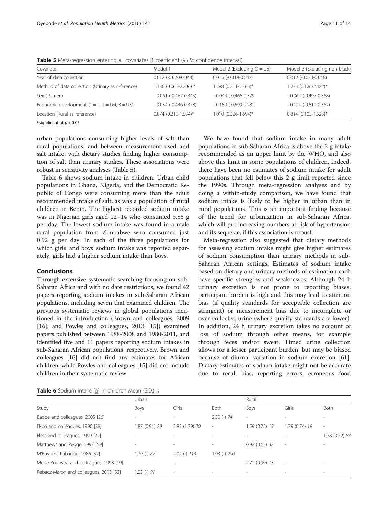Table 5 Meta-regression entering all covariates β coefficient (95 % confidence interval)

| Covariate                                        | Model 1                       | Model 2 (Excluding $Q = U5$ ) | Model 3 (Excluding non-black)  |
|--------------------------------------------------|-------------------------------|-------------------------------|--------------------------------|
| Year of data collection                          | $0.012$ (-0.020-0.044)        | $0.015(-0.018-0.047)$         | $0.012$ (-0.023-0.048)         |
| Method of data collection (Urinary as reference) | 1.136 (0.066-2.206) *         | 1.288 (0.211-2.365)*          | 1.275 (0.126-2.422)*           |
| Sex (% men)                                      | $-0.061$ (-0.467-0.345)       | $-0.044$ (-0.466-0.379)       | $-0.064$ (-0.497-0.368)        |
| Economic development $(1 = L, 2 = LM, 3 = UM)$   | $-0.034$ ( $-0.446 - 0.378$ ) | $-0.159$ (-0.599-0.281)       | $-0.124$ ( $-0.611$ $-0.362$ ) |
| Location (Rural as reference)                    | $0.874$ (0.215-1.534)*        | 1.010 (0.326-1.694)*          | $0.814$ (0.105-1.523)*         |
|                                                  |                               |                               |                                |

\*significant at  $p < 0.05$ 

urban populations consuming higher levels of salt than rural populations; and between measurement used and salt intake, with dietary studies finding higher consumption of salt than urinary studies. These associations were robust in sensitivity analyses (Table 5).

Table 6 shows sodium intake in children. Urban child populations in Ghana, Nigeria, and the Democratic Republic of Congo were consuming more than the adult recommended intake of salt, as was a population of rural children in Benin. The highest recorded sodium intake was in Nigerian girls aged 12–14 who consumed 3.85 g per day. The lowest sodium intake was found in a male rural population from Zimbabwe who consumed just 0.92 g per day. In each of the three populations for which girls' and boys' sodium intake was reported separately, girls had a higher sodium intake than boys.

#### Conclusions

Through extensive systematic searching focusing on sub-Saharan Africa and with no date restrictions, we found 42 papers reporting sodium intakes in sub-Saharan African populations, including seven that examined children. The previous systematic reviews in global populations mentioned in the introduction (Brown and colleagues, 2009 [[16](#page-13-0)]; and Powles and colleagues, 2013 [\[15](#page-13-0)]) examined papers published between 1988-2008 and 1980-2011, and identified five and 11 papers reporting sodium intakes in sub-Saharan African populations, respectively. Brown and colleagues [[16\]](#page-13-0) did not find any estimates for African children, while Powles and colleagues [[15](#page-13-0)] did not include children in their systematic review.

We have found that sodium intake in many adult populations in sub-Saharan Africa is above the 2 g intake recommended as an upper limit by the WHO, and also above this limit in some populations of children. Indeed, there have been no estimates of sodium intake for adult populations that fell below this 2 g limit reported since the 1990s. Through meta-regression analyses and by doing a within-study comparison, we have found that sodium intake is likely to be higher in urban than in rural populations. This is an important finding because of the trend for urbanization in sub-Saharan Africa, which will put increasing numbers at risk of hypertension and its sequelae, if this association is robust.

Meta-regression also suggested that dietary methods for assessing sodium intake might give higher estimates of sodium consumption than urinary methods in sub-Saharan African settings. Estimates of sodium intake based on dietary and urinary methods of estimation each have specific strengths and weaknesses. Although 24 h urinary excretion is not prone to reporting biases, participant burden is high and this may lead to attrition bias (if quality standards for acceptable collection are stringent) or measurement bias due to incomplete or over-collected urine (where quality standards are lower). In addition, 24 h urinary excretion takes no account of loss of sodium through other means, for example through feces and/or sweat. Timed urine collection allows for a lesser participant burden, but may be biased because of diurnal variation in sodium excretion [\[61](#page-14-0)]. Dietary estimates of sodium intake might not be accurate due to recall bias, reporting errors, erroneous food

**Table 6** Sodium intake (g) in children Mean  $(5D)$  n

|                                          | Urban           |                          |                          | Rural          |                          |                |
|------------------------------------------|-----------------|--------------------------|--------------------------|----------------|--------------------------|----------------|
| Study                                    | Boys            | Girls                    | Both                     | Boys           | Girls                    | Both           |
| Badoe and colleagues, 2005 [26]          |                 |                          | $2.50$ (-) $74$          | ۰              |                          |                |
| Ekpo and colleagues, 1990 [38]           | 87 (0.94) 20    | 3.85 (1.79) 20           | $\overline{\phantom{a}}$ | 1.59 (0.75) 19 | 1.79 (0.74) 19           | ٠              |
| Hess and colleagues, 1999 [22]           |                 | $\overline{a}$           |                          |                |                          | 1.78 (0.72) 84 |
| Matthews and Pegge, 1997 [59]            | ٠               | $\overline{a}$           |                          | 0.92(0.65)32   | $\overline{\phantom{a}}$ |                |
| M'Buyuma-Kabangu, 1986 [57]              | $.79$ (-) 87    | $2.02$ (-) $113$         | $1.93$ (-) $200$         |                |                          |                |
| Melse-Boonstra and colleagues, 1998 [19] | $\sim$          | $\overline{a}$           |                          | 2.71 (0.99) 13 | $\overline{\phantom{a}}$ |                |
| Rebacz-Maron and colleagues, 2013 [52]   | $1.25$ (-) $91$ | $\overline{\phantom{a}}$ |                          |                | $\overline{\phantom{a}}$ |                |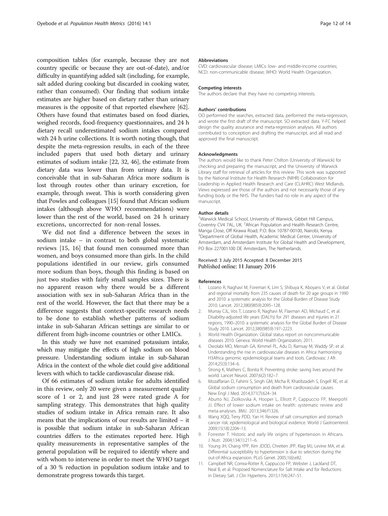<span id="page-12-0"></span>composition tables (for example, because they are not country specific or because they are out-of-date), and/or difficulty in quantifying added salt (including, for example, salt added during cooking but discarded in cooking water, rather than consumed). Our finding that sodium intake estimates are higher based on dietary rather than urinary measures is the opposite of that reported elsewhere [[62](#page-14-0)]. Others have found that estimates based on food diaries, weighed records, food-frequency questionnaires, and 24 h dietary recall underestimated sodium intakes compared with 24 h urine collections. It is worth noting though, that despite the meta-regression results, in each of the three included papers that used both dietary and urinary estimates of sodium intake [\[22, 32, 46](#page-13-0)], the estimate from dietary data was lower than from urinary data. It is conceivable that in sub-Saharan Africa more sodium is lost through routes other than urinary excretion, for example, through sweat. This is worth considering given that Powles and colleagues [\[15\]](#page-13-0) found that African sodium intakes (although above WHO recommendations) were lower than the rest of the world, based on 24 h urinary excretions, uncorrected for non-renal losses.

We did not find a difference between the sexes in sodium intake – in contrast to both global systematic reviews [[15](#page-13-0), [16\]](#page-13-0) that found men consumed more than women, and boys consumed more than girls. In the child populations identified in our review, girls consumed more sodium than boys, though this finding is based on just two studies with fairly small samples sizes. There is no apparent reason why there would be a different association with sex in sub-Saharan Africa than in the rest of the world. However, the fact that there may be a difference suggests that context-specific research needs to be done to establish whether patterns of sodium intake in sub-Saharan African settings are similar to or different from high-income countries or other LMICs.

In this study we have not examined potassium intake, which may mitigate the effects of high sodium on blood pressure. Understanding sodium intake in sub-Saharan Africa in the context of the whole diet could give additional levers with which to tackle cardiovascular disease risk.

Of 66 estimates of sodium intake for adults identified in this review, only 20 were given a measurement quality score of 1 or 2, and just 28 were rated grade A for sampling strategy. This demonstrates that high quality studies of sodium intake in Africa remain rare. It also means that the implications of our results are limited – it is possible that sodium intake in sub-Saharan African countries differs to the estimates reported here. High quality measurements in representative samples of the general population will be required to identify where and with whom to intervene in order to meet the WHO target of a 30 % reduction in population sodium intake and to demonstrate progress towards this target.

#### Abbreviations

CVD: cardiovascular disease; LMICs: low- and middle-income countries; NCD: non-communicable disease; WHO: World Health Organization.

#### Competing interests

The authors declare that they have no competing interests.

#### Authors' contributions

OO performed the searches, extracted data, performed the meta-regression, and wrote the first draft of the manuscript. SO extracted data. Y-FC helped design the quality assurance and meta-regression analyses. All authors contributed to conception and drafting the manuscript, and all read and approved the final manuscript.

#### Acknowledgments

The authors would like to thank Peter Chilton (University of Warwick) for checking and preparing the manuscript, and the University of Warwick Library staff for retrieval of articles for this review. This work was supported by the National Institute for Health Research (NIHR) Collaboration for Leadership in Applied Health Research and Care (CLAHRC) West Midlands. Views expressed are those of the authors and not necessarily those of any funding body or the NHS. The funders had no role in any aspect of the manuscript.

#### Author details

<sup>1</sup>Warwick Medical School, University of Warwick, Gibbet Hill Campus, Coventry CV4 7AL, UK. <sup>2</sup> African Population and Health Research Centre, Manga Close, Off Kirawa Road, P.O. Box 10787-00100, Nairobi, Kenya. <sup>3</sup>Department of Global Health, Academic Medical Center, University of Amsterdam, and Amsterdam Institute for Global Health and Development, PO Box 227001100 DE Amsterdam, The Netherlands.

#### Received: 3 July 2015 Accepted: 8 December 2015 Published online: 11 January 2016

#### References

- 1. Lozano R, Naghavi M, Foreman K, Lim S, Shibuya K, Aboyans V, et al. Global and regional mortality from 235 causes of death for 20 age groups in 1990 and 2010: a systematic analysis for the Global Burden of Disease Study 2010. Lancet. 2012;380(9859):2095–128.
- 2. Murray CJL, Vos T, Lozano R, Naghavi M, Flaxman AD, Michaud C, et al. Disability-adjusted life years (DALYs) for 291 diseases and injuries in 21 regions, 1990–2010: a systematic analysis for the Global Burden of Disease Study 2010. Lancet. 2012;380(9859):197–2223.
- 3. World Health Organization. Global status report on noncommunicable diseases 2010. Geneva: World Health Organization; 2011.
- 4. Owolabi MO, Mensah GA, Kimmel PL, Adu D, Ramsay M, Waddy SP, et al. Understanding the rise in cardiovascular diseases in Africa: harmonising H3Africa genomic epidemiological teams and tools. Cardiovasc J Afr. 2014;25(3):134–6.
- 5. Strong K, Mathers C, Bonita R. Preventing stroke: saving lives around the world. Lancet Neurol. 2007;6(2):182–7.
- 6. Mozaffarian D, Fahimi S, Singh GM, Micha R, Khatibzadeh S, Engell RE, et al. Global sodium consumption and death from cardiovascular causes. New Engl J Med. 2014;371(7):624–34.
- 7. Aburto NJ, Ziolkovska A, Hooper L, Elliott P, Cappuccio FP, Meerpohl JJ. Effect of lower sodium intake on health: systematic review and meta-analyses. BMJ. 2013;346:f1326.
- 8. Wang XQQ, Terry PDD, Yan H. Review of salt consumption and stomach cancer risk: epidemiological and biological evidence. World J Gastroenterol. 2009;15(18):2204–13.
- 9. Forrester T. Historic and early life origins of hypertension in Africans. J Nutr. 2004;134(1):211–6.
- 10. Young JH, Chang YPP, Kim JDOD, Chretien JPP, Klag MJ, Levine MA, et al. Differential susceptibility to hypertension is due to selection during the out-of-Africa expansion. PLoS Genet. 2005;1(6):e82.
- 11. Campbell NR, Correa-Rotter R, Cappuccio FP, Webster J, Lackland DT, Neal B, et al. Proposed Nomenclature for Salt Intake and for Reductions in Dietary Salt. J Clin Hypertens. 2015;17(4):247–51.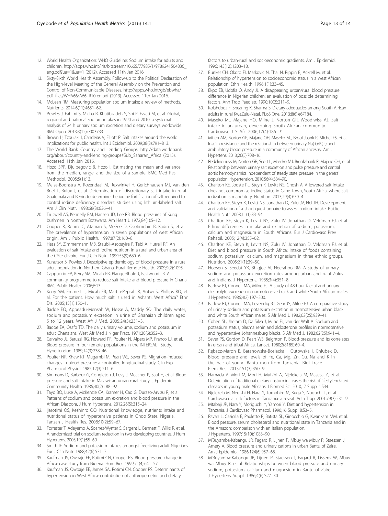- <span id="page-13-0"></span>12. World Health Organization: WHO Guideline: Sodium intake for adults and children. [http://apps.who.int/iris/bitstream/10665/77985/1/9789241504836\\_](http://apps.who.int/iris/bitstream/10665/77985/1/9789241504836_eng.pdf?ua=1&ua=1) [eng.pdf?ua=1&ua=1](http://apps.who.int/iris/bitstream/10665/77985/1/9789241504836_eng.pdf?ua=1&ua=1) (2012). Accessed 11th Jan 2016.
- 13. Sixty-Sixth World Health Assembly: Follow-up to the Political Declaration of the High-level Meeting of the General Assembly on the Prevention and Control of Non-Communicable Diseases. [http://apps.who.int/gb/ebwha/](http://apps.who.int/gb/ebwha/pdf_files/WHA66/A66_R10-en.pdf) [pdf\\_files/WHA66/A66\\_R10-en.pdf](http://apps.who.int/gb/ebwha/pdf_files/WHA66/A66_R10-en.pdf) (2013). Accessed 11th Jan 2016.
- 14. McLean RM. Measuring population sodium intake: a review of methods. Nutrients. 2014;6(11):4651–62.
- 15. Powles J, Fahimi S, Micha R, Khatibzadeh S, Shi P, Ezzati M, et al. Global, regional and national sodium intakes in 1990 and 2010: a systematic analysis of 24 h urinary sodium excretion and dietary surveys worldwide. BMJ Open. 2013;3(12):e003733.
- 16. Brown IJ, Tzoulaki I, Candeias V, Elliott P. Salt intakes around the world: implications for public health. Int J Epidemiol. 2009;38(3):791–813.
- 17. The World Bank: Country and Lending Groups. [http://data.worldbank.](http://data.worldbank.org/about/country-and-lending-groups#Sub_Saharan_Africa) [org/about/country-and-lending-groups#Sub\\_Saharan\\_Africa](http://data.worldbank.org/about/country-and-lending-groups#Sub_Saharan_Africa) (2015). Accessed 11th Jan 2016.
- 18. Hozo SPP, Djulbegovic B, Hozo I. Estimating the mean and variance from the median, range, and the size of a sample. BMC Med Res Methodol. 2005;5(1):13.
- 19. Melse-Boonstra A, Rozendaal M, Rexwinkel H, Gerichhausen MJ, van den Briel T, Bulux J, et al. Determination of discretionary salt intake in rural Guatemala and Benin to determine the iodine fortification of salt required to control iodine deficiency disorders: studies using lithium-labeled salt. Am J Clin Nutr. 1998;68(3):636–41.
- 20. Truswell AS, Kennelly BM, Hansen JD, Lee RB. Blood pressures of Kung bushmen in Northern Botswana. Am Heart J. 1972;84(1):5–12.
- 21. Cooper R, Rotimi C, Ataman S, McGee D, Osotimehin B, Kadiri S, et al. The prevalence of hypertension in seven populations of west African origin. Am J Public Health. 1997;87(2):160–8.
- 22. Hess SY, Zimmermann MB, Staubli-Asobayire F, Tebi A, Hurrell RF. An evaluation of salt intake and iodine nutrition in a rural and urban area of the Côte d'Ivoire. Eur J Clin Nutri. 1999;53(9):680–6.
- 23. Kunutsor S, Powles J. Descriptive epidemiology of blood pressure in a rural adult population in Northern Ghana. Rural Remote Health. 2009;9(2):1095.
- 24. Cappuccio FP, Kerry SM, Micah FB, Plange-Rhule J, Eastwood JB. A community programme to reduce salt intake and blood pressure in Ghana. BMC Public Health. 2006;6:13.
- 25. Kerry SM, Emmett L, Micah FB, Martin-Peprah R, Antwi S, Phillips RO, et al. For the patient. How much salt is used in Ashanti, West Africa? Ethn Dis. 2005;15(1):150–1.
- 26. Badoe EO, Appeadu-Mensah W, Hesse A, Maddy SO. The daily water, sodium and potassium excretion in urine of Ghanaian children aged 5 to 12 years. West Afr J Med. 2005;24(3):231–3.
- 27. Badoe EA, Osafo TD. The daily urinary volume, sodium and potassium in adult Ghanaians. West Afr Med J Niger Pract. 1971;20(6):352–3.
- 28. Carvalho JJ, Baruzzi RG, Howard PF, Poulter N, Alpers MP, Franco LJ, et al. Blood pressure in four remote populations in the INTERSALT Study. Hypertension. 1989;14(3):238–46.
- 29. Poulter NR, Khaw KT, Mugambi M, Peart WS, Sever PS. Migration-induced changes in blood pressure: a controlled longitudinal study. Clin Exp Pharmacol Physiol. 1985;12(3):211–6.
- 30. Simmons D, Barbour G, Congleton J, Levy J, Meacher P, Saul H, et al. Blood pressure and salt intake in Malawi: an urban rural study. J Epidemiol Community Health. 1986;40(2):188–92.
- 31. Tayo BO, Luke A, McKenzie CA, Kramer H, Cao G, Durazo-Arvizu R, et al. Patterns of sodium and potassium excretion and blood pressure in the African Diaspora. J Hum Hypertens. 2012;26(5):315–24.
- 32. Ijarotimi OS, Keshinro OO. Nutritional knowledge, nutrients intake and nutritional status of hypertensive patients in Ondo State, Nigeria. Tanzan J Health Res. 2008;10(2):59–67.
- 33. Forrester T, Adeyemo A, Soarres-Wynter S, Sargent L, Bennett F, Wilks R, et al. A randomized trial on sodium reduction in two developing countries. J Hum Hypertens. 2005;19(1):55–60.
- 34. Smith IF. Sodium and potassium intakes amongst free-living adult Nigerians. Eur J Clin Nutr. 1988;42(6):531–7.
- 35. Kaufman JS, Owoaje EE, Rotimi CN, Cooper RS. Blood pressure change in Africa: case study from Nigeria. Hum Biol. 1999;71(4):641–57.
- 36. Kaufman JS, Owoaje EE, James SA, Rotimi CN, Cooper RS. Determinants of hypertension in West Africa: contribution of anthropometric and dietary

factors to urban-rural and socioeconomic gradients. Am J Epidemiol. 1996;143(12):1203–18.

- 37. Bunker CH, Okoro FI, Markovic N, Thai N, Pippin B, Ackrell M, et al. Relationship of hypertension to socioeconomic status in a west African population. Ethn Health. 1996;1(1):33–45.
- 38. Ekpo EB, Udofia O, Andy JJ. A disappearing urban/rural blood pressure difference in Nigerian children: an evaluation of possible determining factors. Ann Trop Paediatr. 1990;10(2):211–9.
- 39. Kolahdooz F, Spearing K, Sharma S. Dietary adequacies among South African adults in rural KwaZulu-Natal. PLoS One. 2013;8(6):e67184.
- 40. Maseko MJ, Majane HO, Milne J, Norton GR, Woodiwiss AJ. Salt intake in an urban, developing South African community. Cardiovasc J S Afr. 2006;17(4):186–91.
- 41. Millen AM, Norton GR, Majane OH, Maseko MJ, Brooksbank R, Michel FS, et al. Insulin resistance and the relationship between urinary Na(+)/K(+) and ambulatory blood pressure in a community of African ancestry. Am J Hypertens. 2013;26(5):708–16.
- 42. Redelinghuys M, Norton GR, Scott L, Maseko MJ, Brooksbank R, Majane OH, et al. Relationship between urinary salt excretion and pulse pressure and central aortic hemodynamics independent of steady state pressure in the general population. Hypertension. 2010;56(4):584–90.
- 43. Charlton KE, Jooste PL, Steyn K, Levitt NS, Ghosh A. A lowered salt intake does not compromise iodine status in Cape Town, South Africa, where salt iodization is mandatory. Nutrition. 2013;29(4):630–4.
- 44. Charlton KE, Steyn K, Levitt NS, Jonathan D, Zulu JV, Nel JH. Development and validation of a short questionnaire to assess sodium intake. Public Health Nutr. 2008;11(1):83–94.
- 45. Charlton KE, Steyn K, Levitt NS, Zulu JV, Jonathan D, Veldman FJ, et al. Ethnic differences in intake and excretion of sodium, potassium, calcium and magnesium in South Africans. Eur J Cardiovasc Prev Rehabil. 2005;12(4):355–62.
- 46. Charlton KE, Steyn K, Levitt NS, Zulu JV, Jonathan D, Veldman FJ, et al. Diet and blood pressure in South Africa: Intake of foods containing sodium, potassium, calcium, and magnesium in three ethnic groups. Nutrition. 2005;21(1):39–50.
- 47. Hoosen S, Seedat YK, Bhigjee AI, Neerahoo RM. A study of urinary sodium and potassium excretion rates among urban and rural Zulus and Indians. J Hypertens. 1985;3(4):351–8.
- 48. Barlow RJ, Connell MA, Milne FJ. A study of 48-hour faecal and urinary electrolyte excretion in normotensive black and white South African males. J Hypertens. 1986;4(2):197–200.
- 49. Barlow RJ, Connell MA, Levendig BJ, Gear JS, Milne FJ. A comparative study of urinary sodium and potassium excretion in normotensive urban black and white South African males. S Afr Med J. 1982;62(25):939-41.
- 50. Cohen SL, Jhetam D, Da Silva J, Milne FJ, van der Walt A. Sodium and potassium status, plasma renin and aldosterone profiles in normotensive and hypertensive Johannesburg blacks. S Afr Med J. 1982;62(25):941–4.
- 51. Sever PS, Gordon D, Peart WS, Beighton P. Blood-pressure and its correlates in urban and tribal Africa. Lancet. 1980;2(8185):60–4.
- 52. Rębacz-Maron E, Baranowska-Bosiacka I, Gutowska I, Chlubek D. Blood pressure and levels of Fe, Ca, Mg, Zn, Cu, Na and K in the hair of young Bantu men from Tanzania. Biol Trace Elem Res. 2013;151(3):350–9.
- 53. Hamada A, Mori M, Mori H, Muhihi A, Njelekela M, Masesa Z, et al. Deterioration of traditional dietary custom increases the risk of lifestyle-related diseases in young male Africans. J Biomed Sci. 2010;17 Suppl 1:S34.
- 54. Njelekela M, Negishi H, Nara Y, Tomohiro M, Kuga S, Noguchi T, et al. Cardiovascular risk factors in Tanzania: a revisit. Acta Trop. 2001;79(3):231–9.
- 55. Mtabaji JP, Nara Y, Moriguchi Y, Yamori Y. Diet and hypertension in Tanzania. J Cardiovasc Pharmacol. 1990;16 Suppl 8:S3–5.
- 56. Pavan L, Casiglia E, Pauletto P, Batista SL, Ginocchio G, Kwankam MM, et al. Blood pressure, serum cholesterol and nutritional state in Tanzania and in the Amazon: comparison with an Italian population. J Hypertens. 1997;15(10):1083–90.
- 57. M'Buyamba-Kabangu JR, Fagard R, Lijnen P, Mbuy wa Mbuy R, Staessen J, Amery A. Blood pressure and urinary cations in urban Bantu of Zaire. Am J Epidemiol. 1986;124(6):957–68.
- 58. M'Buyamba-Kabangu JR, Lijnen P, Staessen J, Fagard R, Lissens W, Mbuy wa Mbuy R, et al. Relationships between blood pressure and urinary sodium, potassium, calcium and magnesium in Bantu of Zaire. J Hypertens Suppl. 1986;4(6):S27–30.